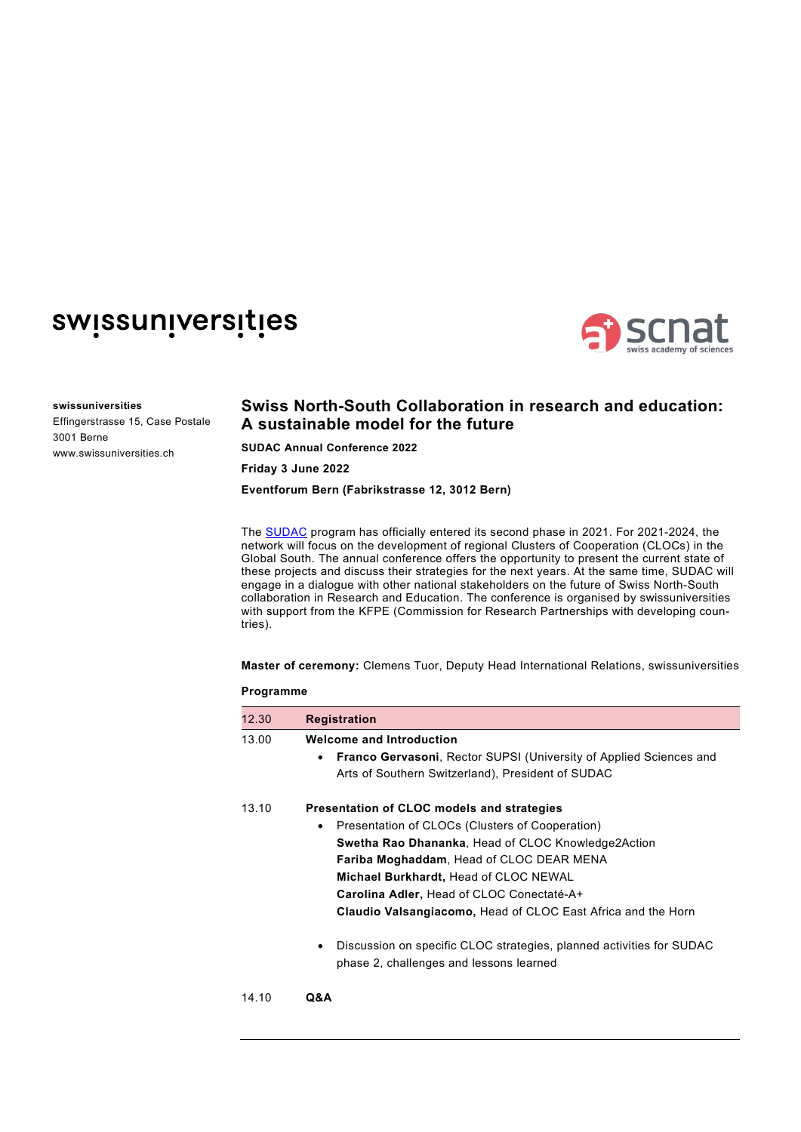## swissuniversities



## **swissuniversities**

Effingerstrasse 15, Case Postale 3001 Berne www.swissuniversities.ch

## **Swiss North-South Collaboration in research and education: A sustainable model for the future**

**SUDAC Annual Conference 2022**

**Friday 3 June 2022**

**Eventforum Bern (Fabrikstrasse 12, 3012 Bern)** 

The [SUDAC](https://www.swissuniversities.ch/themen/entwicklung-und-zusammenarbeit/p-6-swissuniversities-development-and-cooperation-network-sudac) program has officially entered its second phase in 2021. For 2021-2024, the network will focus on the development of regional Clusters of Cooperation (CLOCs) in the Global South. The annual conference offers the opportunity to present the current state of these projects and discuss their strategies for the next years. At the same time, SUDAC will engage in a dialogue with other national stakeholders on the future of Swiss North-South collaboration in Research and Education. The conference is organised by swissuniversities with support from the KFPE (Commission for Research Partnerships with developing countries).

**Master of ceremony:** Clemens Tuor, Deputy Head International Relations, swissuniversities

## **Programme**

| 12.30 | <b>Registration</b>                                                                                                  |  |  |
|-------|----------------------------------------------------------------------------------------------------------------------|--|--|
| 13.00 | <b>Welcome and Introduction</b>                                                                                      |  |  |
|       | <b>Franco Gervasoni, Rector SUPSI (University of Applied Sciences and</b><br>$\bullet$                               |  |  |
|       | Arts of Southern Switzerland), President of SUDAC                                                                    |  |  |
| 13.10 | Presentation of CLOC models and strategies                                                                           |  |  |
|       | Presentation of CLOCs (Clusters of Cooperation)<br>٠                                                                 |  |  |
|       | <b>Swetha Rao Dhananka, Head of CLOC Knowledge2Action</b>                                                            |  |  |
|       | Fariba Moghaddam, Head of CLOC DEAR MENA                                                                             |  |  |
|       | Michael Burkhardt, Head of CLOC NEWAL                                                                                |  |  |
|       | Carolina Adler, Head of CLOC Conectaté-A+                                                                            |  |  |
|       | Claudio Valsangiacomo, Head of CLOC East Africa and the Horn                                                         |  |  |
|       | Discussion on specific CLOC strategies, planned activities for SUDAC<br>٠<br>phase 2, challenges and lessons learned |  |  |
| 14.10 | Q&A                                                                                                                  |  |  |